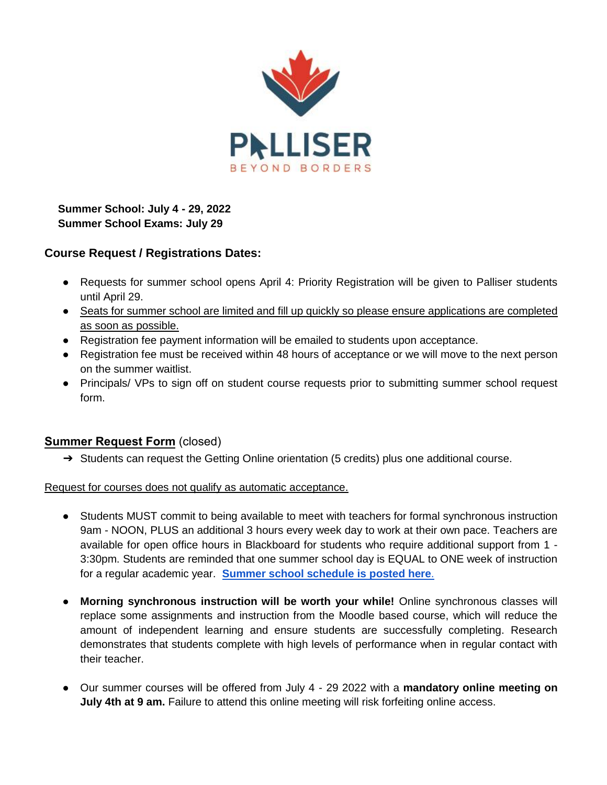

**Summer School: July 4 - 29, 2022 Summer School Exams: July 29**

# **Course Request / Registrations Dates:**

- Requests for summer school opens April 4: Priority Registration will be given to Palliser students until April 29.
- Seats for summer school are limited and fill up quickly so please ensure applications are completed as soon as possible.
- Registration fee payment information will be emailed to students upon acceptance.
- Registration fee must be received within 48 hours of acceptance or we will move to the next person on the summer waitlist.
- Principals/ VPs to sign off on student course requests prior to submitting summer school request form.

# **Summer Request Form** (closed)

➔ Students can request the Getting Online orientation (5 credits) plus one additional course.

Request for courses does not qualify as automatic acceptance.

- Students MUST commit to being available to meet with teachers for formal synchronous instruction 9am - NOON, PLUS an additional 3 hours every week day to work at their own pace. Teachers are available for open office hours in Blackboard for students who require additional support from 1 - 3:30pm. Students are reminded that one summer school day is EQUAL to ONE week of instruction for a regular academic year. **[Summer school schedule is posted here](https://docs.google.com/spreadsheets/d/1CRoCaV-MCd_pb6Y5j-QTEpqnr4H81mcbZfVh6dfzKCI/edit#gid=0)**[.](https://docs.google.com/spreadsheets/d/1CRoCaV-MCd_pb6Y5j-QTEpqnr4H81mcbZfVh6dfzKCI/edit#gid=0)
- **Morning synchronous instruction will be worth your while!** Online synchronous classes will replace some assignments and instruction from the Moodle based course, which will reduce the amount of independent learning and ensure students are successfully completing. Research demonstrates that students complete with high levels of performance when in regular contact with their teacher.
- Our summer courses will be offered from July 4 29 2022 with a **mandatory online meeting on July 4th at 9 am.** Failure to attend this online meeting will risk forfeiting online access.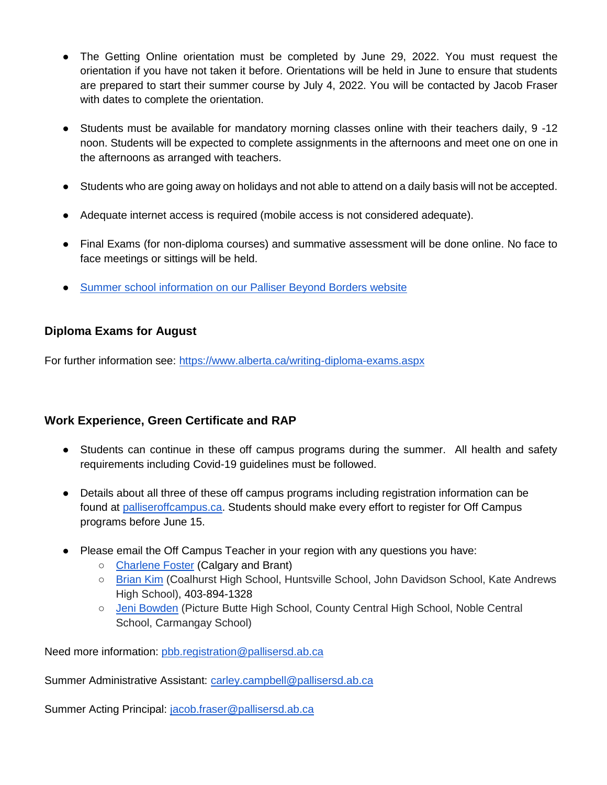- The Getting Online orientation must be completed by June 29, 2022. You must request the orientation if you have not taken it before. Orientations will be held in June to ensure that students are prepared to start their summer course by July 4, 2022. You will be contacted by Jacob Fraser with dates to complete the orientation.
- Students must be available for mandatory morning classes online with their teachers daily, 9 -12 noon. Students will be expected to complete assignments in the afternoons and meet one on one in the afternoons as arranged with teachers.
- Students who are going away on holidays and not able to attend on a daily basis will not be accepted.
- Adequate internet access is required (mobile access is not considered adequate).
- Final Exams (for non-diploma courses) and summative assessment will be done online. No face to face meetings or sittings will be held.
- [Summer school information on our Palliser Beyond Borders website](https://www.palliserbeyondborders.com/current-students/online-studies/summer-school2)

# **Diploma Exams for August**

For further information see:<https://www.alberta.ca/writing-diploma-exams.aspx>

# **Work Experience, Green Certificate and RAP**

- Students can continue in these off campus programs during the summer. All health and safety requirements including Covid-19 guidelines must be followed.
- Details about all three of these off campus programs including registration information can be found at [palliseroffcampus.ca.](https://www.palliseroffcampus.ca/) Students should make every effort to register for Off Campus programs before June 15.
- Please email the Off Campus Teacher in your region with any questions you have:
	- [Charlene Foster](mailto:charlene.foster@pallisersd.ab.ca) (Calgary and Brant)
	- [Brian Kim](mailto:brian.kim@pallisersd.ab.ca) (Coalhurst High School, Huntsville School, John Davidson School, Kate Andrews High School), 403-894-1328
	- [Jeni Bowden](http://jennifer.bowden@pallisersd.ab.ca) (Picture Butte High School, County Central High School, Noble Central School, Carmangay School)

Need more information: [pbb.registration@pallisersd.ab.ca](mailto:pbb.registration@pallisersd.ab.ca)

Summer Administrative Assistant: [carley.campbell@pallisersd.ab.ca](mailto:carley.campbell@pallisersd.ab.ca)

Summer Acting Principal: [jacob.fraser@pallisersd.ab.ca](mailto:jacon.fraser@pallisersd.ab.ca)